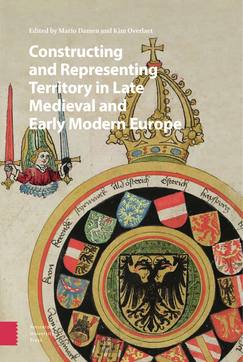**Edited by Mario Damen and Kim Overlaet**

**Constructing and Representing Territory in Late Medieval and Early Modern Europe**

Kajewaverk Elle offereits

Sperif

han form

₫

Leas

Renable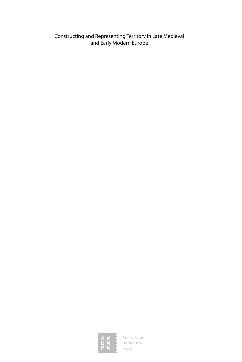Constructing and Representing Territory in Late Medieval and Early Modern Europe

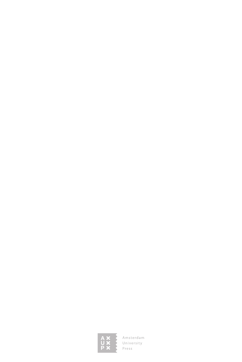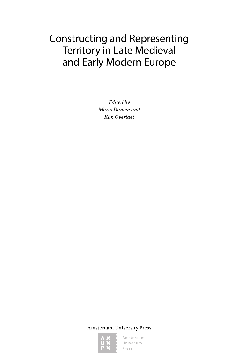## Constructing and Representing Territory in Late Medieval and Early Modern Europe

*Edited by Mario Damen and Kim Overlaet*

Amsterdam University Press

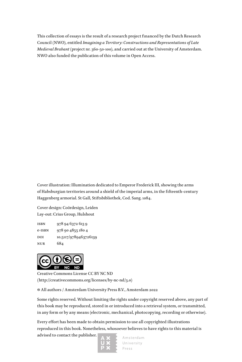This collection of essays is the result of a research project financed by the Dutch Research Council (NWO), entitled *Imagining a Territory: Constructions and Representations of Late Medieval Brabant* (project nr. 360-50-100), and carried out at the University of Amsterdam. NWO also funded the publication of this volume in Open Access.

Cover illustration: Illumination dedicated to Emperor Frederick III, showing the arms of Habsburgian territories around a shield of the imperial arms, in the fifteenth-century Haggenberg armorial. St Gall, Stiftsbibliothek, Cod. Sang. 1084.

Cover design: Coördesign, Leiden Lay-out: Crius Group, Hulshout

isbn 978 94 6372 613 9 e-isbn 978 90 4855 180 4 DOI 10.5117/9789463726139 nur 684



Creative Commons License CC BY NC ND (<http://creativecommons.org/licenses/by-nc-nd/3.0>)

All authors / Amsterdam University Press B.V., Amsterdam 2022

Some rights reserved. Without limiting the rights under copyright reserved above, any part of this book may be reproduced, stored in or introduced into a retrieval system, or transmitted, in any form or by any means (electronic, mechanical, photocopying, recording or otherwise).

Every effort has been made to obtain permission to use all copyrighted illustrations reproduced in this book. Nonetheless, whosoever believes to have rights to this material is

advised to contact the publisher.

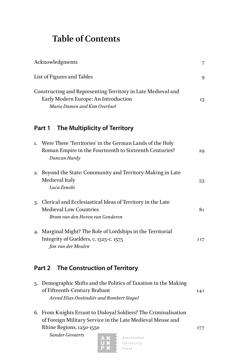## **Table of Contents**

|    | Acknowledgments                                                                                                                       | 7   |
|----|---------------------------------------------------------------------------------------------------------------------------------------|-----|
|    | List of Figures and Tables                                                                                                            | 9   |
|    | Constructing and Representing Territory in Late Medieval and<br>Early Modern Europe: An Introduction<br>Mario Damen and Kim Overlaet  | 13  |
|    | The Multiplicity of Territory<br>Part 1                                                                                               |     |
|    | 1. Were There 'Territories' in the German Lands of the Holy<br>Roman Empire in the Fourteenth to Sixteenth Centuries?<br>Duncan Hardy | 29  |
| 2. | Beyond the State: Community and Territory-Making in Late<br>Medieval Italy<br>Luca Zenobi                                             | 53  |
|    | 3. Clerical and Ecclesiastical Ideas of Territory in the Late<br><b>Medieval Low Countries</b><br>Bram van den Hoven van Genderen     | 81  |
|    | 4. Marginal Might? The Role of Lordships in the Territorial<br>Integrity of Guelders, c. 1325-c. 1575<br>Jim van der Meulen           | 117 |

### **Part 2 The Construction of Territory**

| 5. Demographic Shifts and the Politics of Taxation in the Making<br>of Fifteenth-Century Brabant<br>Arend Elias Oostindiër and Rombert Stapel | 141 |
|-----------------------------------------------------------------------------------------------------------------------------------------------|-----|
| $\mathcal{C}$ . Figure 17. Following Figure 13. Probability 1.0 and 2. $\mathcal{C}$ and 2. The contract of                                   |     |

6. From Knights Errant to Disloyal Soldiers? The Criminalisation of Foreign Military Service in the Late Medieval Meuse and Rhine Regions, 1250-1550 177

*Sander Govaerts*

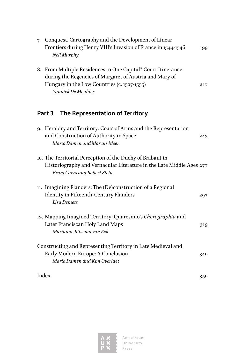| 7. | Conquest, Cartography and the Development of Linear<br>Frontiers during Henry VIII's Invasion of France in 1544-1546<br>Neil Murphy                                                          | 199 |
|----|----------------------------------------------------------------------------------------------------------------------------------------------------------------------------------------------|-----|
|    | 8. From Multiple Residences to One Capital? Court Itinerance<br>during the Regencies of Margaret of Austria and Mary of<br>Hungary in the Low Countries (c. 1507-1555)<br>Yannick De Meulder | 217 |
|    | The Representation of Territory<br>Part 3                                                                                                                                                    |     |
|    | 9. Heraldry and Territory: Coats of Arms and the Representation<br>and Construction of Authority in Space<br>Mario Damen and Marcus Meer                                                     | 243 |
|    | 10. The Territorial Perception of the Duchy of Brabant in<br>Historiography and Vernacular Literature in the Late Middle Ages 277<br><b>Bram Caers and Robert Stein</b>                      |     |
|    | 11. Imagining Flanders: The (De)construction of a Regional<br>Identity in Fifteenth-Century Flanders<br>Lisa Demets                                                                          | 297 |
|    | 12. Mapping Imagined Territory: Quaresmio's Chorographia and<br>Later Franciscan Holy Land Maps<br>Marianne Ritsema van Eck                                                                  | 319 |
|    | Constructing and Representing Territory in Late Medieval and<br>Early Modern Europe: A Conclusion<br>Mario Damen and Kim Overlaet                                                            | 349 |
|    | Index                                                                                                                                                                                        | 359 |

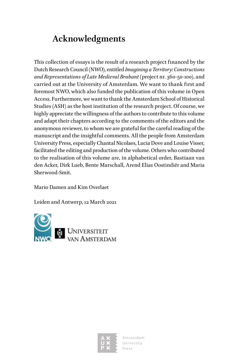## **Acknowledgments**

This collection of essays is the result of a research project financed by the Dutch Research Council (NWO), entitled *Imagining a Territory: Constructions and Representations of Late Medieval Brabant* (project nr. 360-50-100), and carried out at the University of Amsterdam. We want to thank first and foremost NWO, which also funded the publication of this volume in Open Access. Furthermore, we want to thank the Amsterdam School of Historical Studies (ASH) as the host institution of the research project. Of course, we highly appreciate the willingness of the authors to contribute to this volume and adapt their chapters according to the comments of the editors and the anonymous reviewer, to whom we are grateful for the careful reading of the manuscript and the insightful comments. All the people from Amsterdam University Press, especially Chantal Nicolaes, Lucia Dove and Louise Visser, facilitated the editing and production of the volume. Others who contributed to the realisation of this volume are, in alphabetical order, Bastiaan van den Acker, Dirk Lueb, Bente Marschall, Arend Elias Oostindiër and Maria Sherwood-Smit.

Mario Damen and Kim Overlaet

Leiden and Antwerp, 12 March 2021



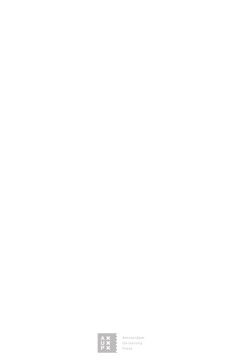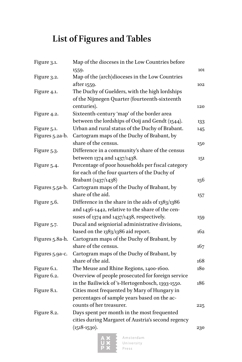# **List of Figures and Tables**

| Figure 3.1.     | Map of the dioceses in the Low Countries before    |     |
|-----------------|----------------------------------------------------|-----|
|                 | 1559.                                              | 101 |
| Figure 3.2.     | Map of the (arch)dioceses in the Low Countries     |     |
|                 | after 1559.                                        | 102 |
| Figure 4.1.     | The Duchy of Guelders, with the high lordships     |     |
|                 | of the Nijmegen Quarter (fourteenth-sixteenth      |     |
|                 | centuries).                                        | 120 |
| Figure 4.2.     | Sixteenth-century 'map' of the border area         |     |
|                 | between the lordships of Ooij and Gendt (1544).    | 133 |
| Figure 5.1.     | Urban and rural status of the Duchy of Brabant.    | 145 |
| Figures 5.2a-b. | Cartogram maps of the Duchy of Brabant, by         |     |
|                 | share of the census.                               | 150 |
| Figure 5.3.     | Difference in a community's share of the census    |     |
|                 | between 1374 and 1437/1438.                        | 151 |
| Figure 5.4.     | Percentage of poor households per fiscal category  |     |
|                 | for each of the four quarters of the Duchy of      |     |
|                 | Brabant (1437/1438)                                | 156 |
| Figures 5.5a-b. | Cartogram maps of the Duchy of Brabant, by         |     |
|                 | share of the aid.                                  | 157 |
| Figure 5.6.     | Difference in the share in the aids of 1383/1386   |     |
|                 | and 1436-1442, relative to the share of the cen-   |     |
|                 | suses of 1374 and 1437/1438, respectively.         | 159 |
| Figure 5.7.     | Ducal and seigniorial administrative divisions,    |     |
|                 | based on the 1383/1386 aid report.                 | 162 |
| Figures 5.8a-h. | Cartogram maps of the Duchy of Brabant, by         |     |
|                 | share of the census.                               | 167 |
| Figures 5.9a-c. | Cartogram maps of the Duchy of Brabant, by         |     |
|                 | share of the aid.                                  | 168 |
| Figure 6.1.     | The Meuse and Rhine Regions, 1400-1600.            | 180 |
| Figure 6.2.     | Overview of people prosecuted for foreign service  |     |
|                 | in the Bailiwick of 's-Hertogenbosch, 1393-1550.   | 186 |
| Figure 8.1.     | Cities most frequented by Mary of Hungary in       |     |
|                 | percentages of sample years based on the ac-       |     |
|                 | counts of her treasurer.                           | 225 |
| Figure 8.2.     | Days spent per month in the most frequented        |     |
|                 | cities during Margaret of Austria's second regency |     |
|                 | $(1518-1530).$                                     | 230 |

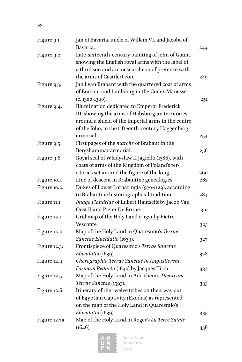10

| Figure 9.1.   | Jan of Bavaria, uncle of Willem VI, and Jacoba of<br>Bavaria.                                                                                             | 244 |
|---------------|-----------------------------------------------------------------------------------------------------------------------------------------------------------|-----|
| Figure 9.2.   | Late-sixteenth-century painting of John of Gaunt,<br>showing the English royal arms with the label of<br>a third son and an inescutcheon of pretence with |     |
|               | the arms of Castile/Leon.                                                                                                                                 | 249 |
| Figure 9.3.   | Jan I van Brabant with the quartered coat of arms<br>of Brabant and Limbourg in the Codex Manesse                                                         |     |
|               | $(c. 1300-1340).$                                                                                                                                         | 251 |
| Figure 9.4.   | Illumination dedicated to Emperor Frederick                                                                                                               |     |
|               | III, showing the arms of Habsburgian territories                                                                                                          |     |
|               | around a shield of the imperial arms in the centre                                                                                                        |     |
|               | of the folio, in the fifteenth-century Haggenberg                                                                                                         |     |
|               | armorial.                                                                                                                                                 | 254 |
| Figure 9.5.   | First pages of the <i>marche</i> of Brabant in the                                                                                                        |     |
|               | Bergshammar armorial.                                                                                                                                     | 256 |
| Figure 9.6.   | Royal seal of Władysław II Jagiełło (1386), with                                                                                                          |     |
|               | coats of arms of the Kingdom of Poland's ter-                                                                                                             |     |
|               | ritories set around the figure of the king.                                                                                                               | 260 |
| Figure 10.1.  | Line of descent in Brabantine genealogies.                                                                                                                | 282 |
| Figure 10.2.  | Dukes of Lower Lotharingia (970-1129), according                                                                                                          |     |
|               | to Brabantine historiographical tradition.                                                                                                                | 284 |
| Figure 11.1.  | Imago Flandriae of Lubert Hautscilt by Jacob Van                                                                                                          |     |
|               | Oost II and Pieter De Brune.                                                                                                                              | 310 |
| Figure 12.1.  | Grid map of the Holy Land c. 1321 by Pietro                                                                                                               |     |
|               | Vesconte                                                                                                                                                  | 323 |
| Figure 12.2.  | Map of the Holy Land in Quaresmio's Terrae                                                                                                                |     |
|               | Sanctae Elucidatio (1639).                                                                                                                                | 327 |
| Figure 12.3.  | Frontispiece of Quaresmio's Terrae Sanctae                                                                                                                |     |
|               | Elucidatio (1639).                                                                                                                                        | 328 |
| Figure 12.4.  | Chorographia Terrae Sanctae in Angustiorem                                                                                                                |     |
|               | Formam Redacta (1632) by Jacques Tirin.                                                                                                                   | 332 |
| Figure 12.5.  | Map of the Holy Land in Adrichem's Theatrum                                                                                                               |     |
|               | Terrae Sanctae (1593).                                                                                                                                    | 333 |
| Figure 12.6.  | Itinerary of the twelve tribes on their way out                                                                                                           |     |
|               | of Egyptian Captivity (Exodus) as represented                                                                                                             |     |
|               | on the map of the Holy Land in Quaresmio's                                                                                                                |     |
|               | Elucidatio (1639).                                                                                                                                        | 335 |
| Figure 12.7a. | Map of the Holy Land in Roger's La Terre Sainte                                                                                                           |     |
|               | (1646).                                                                                                                                                   | 338 |
|               |                                                                                                                                                           |     |

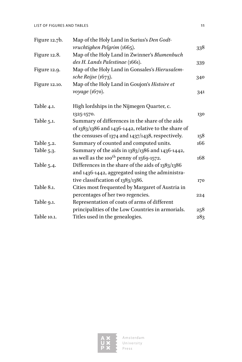| Figure 12.7b. | Map of the Holy Land in Surius's Den Godt-           |     |
|---------------|------------------------------------------------------|-----|
|               | vruchtighen Pelgrim (1665).                          | 338 |
| Figure 12.8.  | Map of the Holy Land in Zwinner's Blumenbuch         |     |
|               | des H. Lands Palestinae (1661).                      | 339 |
| Figure 12.9.  | Map of the Holy Land in Gonsales's Hierusalem-       |     |
|               | sche Reijse (1673).                                  | 340 |
| Figure 12.10. | Map of the Holy Land in Goujon's Histoire et         |     |
|               | voyage (1670).                                       | 341 |
| Table 4.1.    | High lordships in the Nijmegen Quarter, c.           |     |
|               | 1325-1570.                                           | 130 |
| Table 5.1.    | Summary of differences in the share of the aids      |     |
|               | of 1383/1386 and 1436-1442, relative to the share of |     |
|               | the censuses of 1374 and 1437/1438, respectively.    | 158 |
| Table 5.2.    | Summary of counted and computed units.               | 166 |
| Table $5.3$ . | Summary of the aids in 1383/1386 and 1436-1442,      |     |
|               | as well as the 100 <sup>th</sup> penny of 1569-1572. | 168 |
| Table 5.4.    | Differences in the share of the aids of 1383/1386    |     |
|               | and 1436-1442, aggregated using the administra-      |     |
|               | tive classification of 1383/1386.                    | 170 |
| Table 8.1.    | Cities most frequented by Margaret of Austria in     |     |
|               | percentages of her two regencies.                    | 224 |
| Table 9.1.    | Representation of coats of arms of different         |     |
|               | principalities of the Low Countries in armorials.    | 258 |
| Table 10.1.   | Titles used in the genealogies.                      | 283 |

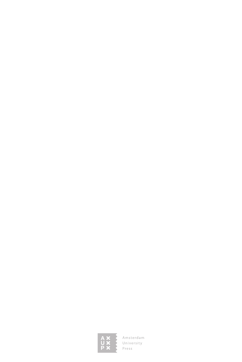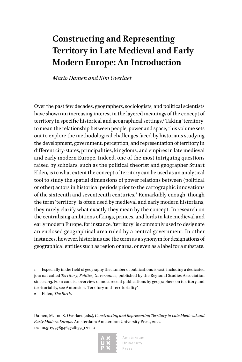## **Constructing and Representing Territory in Late Medieval and Early Modern Europe: An Introduction**

*Mario Damen and Kim Overlaet*

Over the past few decades, geographers, sociologists, and political scientists have shown an increasing interest in the layered meanings of the concept of territory in specific historical and geographical settings.<sup>1</sup> Taking 'territory' to mean the relationship between people, power and space, this volume sets out to explore the methodological challenges faced by historians studying the development, government, perception, and representation of territory in different city-states, principalities, kingdoms, and empires in late medieval and early modern Europe. Indeed, one of the most intriguing questions raised by scholars, such as the political theorist and geographer Stuart Elden, is to what extent the concept of territory can be used as an analytical tool to study the spatial dimensions of power relations between (political or other) actors in historical periods prior to the cartographic innovations of the sixteenth and seventeenth centuries.<sup>2</sup> Remarkably enough, though the term 'territory' is often used by medieval and early modern historians, they rarely clarify what exactly they mean by the concept. In research on the centralising ambitions of kings, princes, and lords in late medieval and early modern Europe, for instance, 'territory' is commonly used to designate an enclosed geographical area ruled by a central government. In other instances, however, historians use the term as a synonym for designations of geographical entities such as region or area, or even as a label for a substate.

Especially in the field of geography the number of publications is vast, including a dedicated journal called *Territory, Politics, Governance*, published by the Regional Studies Association since 2013. For a concise overview of most recent publications by geographers on territory and territoriality, see Antonsich, 'Territory and Territoriality'.

2 Elden, *The Birth*.

Damen, M. and K. Overlaet (eds.), *Constructing and Representing Territory in Late Medieval and Early Modern Europe*. Amsterdam: Amsterdam University Press, 2022 DOI 10.5117/9789463726139\_INTRO

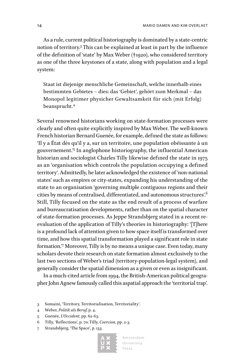As a rule, current political historiography is dominated by a state-centric notion of territory.3 This can be explained at least in part by the influence of the definition of 'state' by Max Weber (†1920), who considered territory as one of the three keystones of a state, along with population and a legal system:

Staat ist diejenige menschliche Gemeinschaft, welche innerhalb eines bestimmten Gebietes – dies: das 'Gebiet', gehört zum Merkmal – das Monopol legitimer physicher Gewaltsamkeit für sich (mit Erfolg) beansprucht.<sup>4</sup>

Several renowned historians working on state-formation processes were clearly and often quite explicitly inspired by Max Weber. The well-known French historian Bernard Guenée, for example, defined the state as follows: 'Il y a État dès qu'il y a, sur un territoire, une population obéissante à un gouvernement.'5 In anglophone historiography, the influential American historian and sociologist Charles Tilly likewise defined the state in 1975 as an 'organisation which controls the population occupying a defined territory'. Admittedly, he later acknowledged the existence of 'non-national states' such as empires or city-states, expanding his understanding of the state to an organisation 'governing multiple contiguous regions and their cities by means of centralised, differentiated, and autonomous structures'.6 Still, Tilly focused on the state as the end result of a process of warfare and bureaucratisation developments, rather than on the spatial character of state-formation processes. As Jeppe Strandsbjerg stated in a recent reevaluation of the application of Tilly's theories in historiography: '[T]here is a profound lack of attention given to how space itself is transformed over time, and how this spatial transformation played a significant role in state formation.'7 Moreover, Tilly is by no means a unique case. Even today, many scholars devote their research on state formation almost exclusively to the last two sections of Weber's triad (territory-population-legal system), and generally consider the spatial dimension as a given or even as insignificant.

In a much-cited article from 1994, the British-American political geographer John Agnew famously called this aspatial approach the 'territorial trap'.

5 Guenée, *L'Occident*, pp. 62-63.

<sup>7</sup> Strandsbjerg, 'The Space', p. 133.



<sup>3</sup> Somaini, 'Territory, Territorialisation, Territoriality'.

<sup>4</sup> Weber, *Politik als Beruf*, p. 4.

<sup>6</sup> Tilly, 'Reflections', p. 70; Tilly, *Coercion*, pp. 2-3.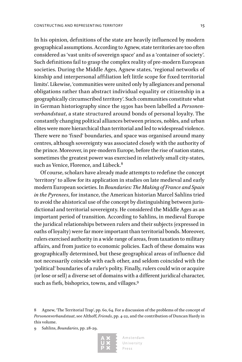In his opinion, definitions of the state are heavily influenced by modern geographical assumptions. According to Agnew, state territories are too often considered as 'vast units of sovereign space' and as a 'container of society'. Such definitions fail to grasp the complex reality of pre-modern European societies. During the Middle Ages, Agnew states, 'regional networks of kinship and interpersonal affiliation left little scope for fixed territorial limits'. Likewise, 'communities were united only by allegiances and personal obligations rather than abstract individual equality or citizenship in a geographically circumscribed territory'. Such communities constitute what in German historiography since the 1930s has been labelled a *Personenverbandstaat*, a state structured around bonds of personal loyalty. The constantly changing political alliances between princes, nobles, and urban elites were more hierarchical than territorial and led to widespread violence. There were no 'fixed' boundaries, and space was organised around many centres, although sovereignty was associated closely with the authority of the prince. Moreover, in pre-modern Europe, before the rise of nation states, sometimes the greatest power was exercised in relatively small city-states, such as Venice, Florence, and Lübeck.<sup>8</sup>

Of course, scholars have already made attempts to redefine the concept 'territory' to allow for its application in studies on late medieval and early modern European societies. In *Boundaries: The Making of France and Spain in the Pyrenees*, for instance, the American historian Marcel Sahlins tried to avoid the ahistorical use of the concept by distinguishing between jurisdictional and territorial sovereignty. He considered the Middle Ages as an important period of transition. According to Sahlins, in medieval Europe the juridical relationships between rulers and their subjects (expressed in oaths of loyalty) were far more important than territorial bonds. Moreover, rulers exercised authority in a wide range of areas, from taxation to military affairs, and from justice to economic policies. Each of these domains was geographically determined, but these geographical areas of influence did not necessarily coincide with each other, and seldom coincided with the 'political' boundaries of a ruler's polity. Finally, rulers could win or acquire (or lose or sell) a diverse set of domains with a different juridical character, such as fiefs, bishoprics, towns, and villages.<sup>9</sup>

9 Sahlins, *Boundaries*, pp. 28-29.



<sup>8</sup> Agnew, 'The Territorial Trap', pp. 60, 64. For a discussion of the problems of the concept of *Personenverbandstaat*, see Althoff, *Friends*, pp. 4-22, and the contribution of Duncan Hardy in this volume.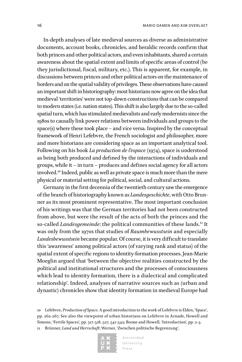In-depth analyses of late medieval sources as diverse as administrative documents, account books, chronicles, and heraldic records confirm that both princes and other political actors, and even inhabitants, shared a certain awareness about the spatial extent and limits of specific areas of control (be they jurisdictional, fiscal, military, etc.). This is apparent, for example, in discussions between princes and other political actors on the maintenance of borders and on the spatial validity of privileges. These observations have caused an important shift in historiography: most historians now agree on the idea that medieval 'territories' were not top-down constructions that can be compared to modern states (i.e. nation states). This shift is also largely due to the so-called spatial turn, which has stimulated medievalists and early modernists since the 1980s to causally link power relations between individuals and groups to the space(s) where these took place – and vice versa. Inspired by the conceptual framework of Henri Lefebvre, the French sociologist and philosopher, more and more historians are considering space as an important analytical tool. Following on his book *La production de l'espace* (1974), space is understood as being both produced and defined by the interactions of individuals and groups, while it – in turn – produces and defines social agency for all actors involved.10 Indeed, public as well as private space is much more than the mere physical or material setting for political, social, and cultural actions.

Germany in the first decennia of the twentieth century saw the emergence of the branch of historiography known as *Landesgeschichte*, with Otto Brunner as its most prominent representative. The most important conclusion of his writings was that the German territories had not been constructed from above, but were the result of the acts of both the princes and the so-called *Landesgemeinde*: the political communities of these lands.<sup>11</sup> It was only from the 1970s that studies of *Raumbewusstsein* and especially *Landesbewusstsein* became popular. Of course, it is very difficult to translate this 'awareness' among political actors (of varying rank and status) of the spatial extent of specific regions to identity-formation processes. Jean-Marie Moeglin argued that 'between the objective realities constructed by the political and institutional structures and the processes of consciousness which lead to identity formation, there is a dialectical and complicated relationship'. Indeed, analyses of narrative sources such as (urban and dynastic) chronicles show that identity formation in medieval Europe had

<sup>10</sup> Lefebvre, *Production of Space*. A good introduction to the work of Lefebvre is Elden, 'Space', pp. 262-267. See also the viewpoint of urban historians on Lefebvre in Arnade, Howell and Simons, 'Fertile Spaces', pp. 517-518, 527, 541-542; Boone and Howell, 'Introduction', pp. 2-3. 11 Brünner, *Land und Herrschaft*; Werner, 'Zwischen politische Begrenzung'.

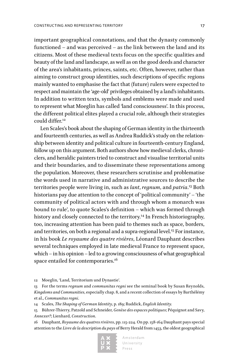important geographical connotations, and that the dynasty commonly functioned – and was perceived – as the link between the land and its citizens. Most of these medieval texts focus on the specific qualities and beauty of the land and landscape, as well as on the good deeds and character of the area's inhabitants, princes, saints, etc. Often, however, rather than aiming to construct group identities, such descriptions of specific regions mainly wanted to emphasise the fact that (future) rulers were expected to respect and maintain the 'age-old' privileges obtained by a land's inhabitants. In addition to written texts, symbols and emblems were made and used to represent what Moeglin has called 'land consciousness'. In this process, the different political elites played a crucial role, although their strategies could differ.<sup>12</sup>

Len Scales's book about the shaping of German identity in the thirteenth and fourteenth centuries, as well as Andrea Ruddick's study on the relationship between identity and political culture in fourteenth-century England, follow up on this argument. Both authors show how medieval clerks, chroniclers, and heraldic painters tried to construct and visualise territorial units and their boundaries, and to disseminate these representations among the population. Moreover, these researchers scrutinise and problematise the words used in narrative and administrative sources to describe the territories people were living in, such as *lant*, *regnum*, and *patria*. 13 Both historians pay due attention to the concept of 'political community' – 'the community of political actors with and through whom a monarch was bound to rule', to quote Scales's definition – which was formed through history and closely connected to the territory.<sup>14</sup> In French historiography, too, increasing attention has been paid to themes such as space, borders, and territories, on both a regional and a supra-regional level.<sup>15</sup> For instance, in his book *Le royaume des quatre rivières*, Léonard Dauphant describes several techniques employed in late medieval France to represent space, which – in his opinion – led to a growing consciousness of what geographical space entailed for contemporaries.<sup>16</sup>

12 Moeglin, 'Land, Territorium und Dynastie'.

14 Scales, *The Shaping of German Identity*, p. 189; Ruddick, *English Identity.*

15 Bührer-Thierry, Patzold and Schneider, *Genèse des espaces politiques*; Péquignot and Savy, *Annexer?*; Lienhard, *Construction*.

16 Dauphant, *Royaume des quatres rivières*, pp. 115-224. On pp. 158-164 Dauphant pays special attention to the *Livre de la description du pays* of Berry Herald from 1453, the oldest geographical



<sup>13</sup> For the terms *regnum* and *communitas regni* see the seminal book by Susan Reynolds, *Kingdoms and Communities*, especially chap. 8, and a recent collection of essays by Barthélémy et al., *Communitas regni*.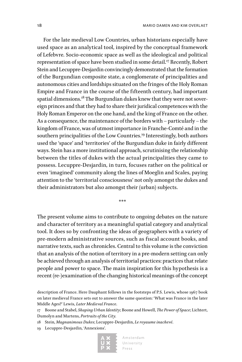For the late medieval Low Countries, urban historians especially have used space as an analytical tool, inspired by the conceptual framework of Lefebvre*.* Socio-economic space as well as the ideological and political representation of space have been studied in some detail.<sup>17</sup> Recently, Robert Stein and Lecuppre-Desjardin convincingly demonstrated that the formation of the Burgundian composite state, a conglomerate of principalities and autonomous cities and lordships situated on the fringes of the Holy Roman Empire and France in the course of the fifteenth century, had important spatial dimensions.<sup>18</sup> The Burgundian dukes knew that they were not sovereign princes and that they had to share their juridical competences with the Holy Roman Emperor on the one hand, and the king of France on the other. As a consequence, the maintenance of the borders with – particularly – the kingdom of France, was of utmost importance in Franche-Comté and in the southern principalities of the Low Countries.<sup>19</sup> Interestingly, both authors used the 'space' and 'territories' of the Burgundian duke in fairly different ways. Stein has a more institutional approach, scrutinising the relationship between the titles of dukes with the actual principalities they came to possess. Lecuppre-Desjardin, in turn, focuses rather on the political or even 'imagined' community along the lines of Moeglin and Scales, paying attention to the 'territorial consciousness' not only amongst the dukes and their administrators but also amongst their (urban) subjects.

\*\*\*

The present volume aims to contribute to ongoing debates on the nature and character of territory as a meaningful spatial category and analytical tool. It does so by confronting the ideas of geographers with a variety of pre-modern administrative sources, such as fiscal account books, and narrative texts, such as chronicles. Central to this volume is the conviction that an analysis of the notion of territory in a pre-modern setting can only be achieved through an analysis of territorial practices: practices that relate people and power to space. The main inspiration for this hypothesis is a recent (re-)examination of the changing historical meanings of the concept

<sup>19</sup> Lecuppre-Desjardin, 'Annexions'.



description of France. Here Dauphant follows in the footsteps of P.S. Lewis, whose 1967 book on later medieval France sets out to answer the same question: 'What was France in the later Middle Ages?' Lewis, *Later Medieval France*.

<sup>17</sup> Boone and Stabel, *Shaping Urban Identity*; Boone and Howell, *The Power of Space*; Lichtert, Dumolyn and Martens, *Portraits of the City*.

<sup>18</sup> Stein, *Magnanimous Dukes*; Lecuppre-Desjardin, *Le royaume inachevé*.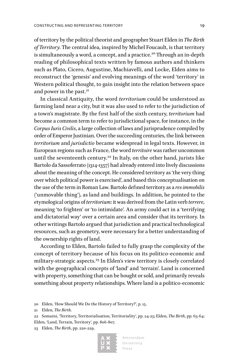of territory by the political theorist and geographer Stuart Elden in *The Birth of Territory*. The central idea, inspired by Michel Foucault, is that territory is simultaneously a word, a concept, and a practice.<sup>20</sup> Through an in-depth reading of philosophical texts written by famous authors and thinkers such as Plato, Cicero, Augustine, Machiavelli, and Locke, Elden aims to reconstruct the 'genesis' and evolving meanings of the word 'territory' in Western political thought, to gain insight into the relation between space and power in the past.<sup>21</sup>

In classical Antiquity, the word *territorium* could be understood as farming land near a city, but it was also used to refer to the jurisdiction of a town's magistrate. By the first half of the sixth century, *territorium* had become a common term to refer to jurisdictional space, for instance, in the *Corpus Iuris Civilis*, a large collection of laws and jurisprudence compiled by order of Emperor Justinian. Over the succeeding centuries, the link between *territorium* and *jurisdictio* became widespread in legal texts. However, in European regions such as France, the word *territoire* was rather uncommon until the seventeenth century.<sup>22</sup> In Italy, on the other hand, jurists like Bartolo da Sassoferrato (1314-1357) had already entered into lively discussions about the meaning of the concept. He considered territory as 'the very thing over which political power is exercised', and based this conceptualisation on the use of the term in Roman Law. Bartolo defined territory as a *res immobilis* ('unmovable thing'), as land and buildings. In addition, he pointed to the etymological origins of *territorium*: it was derived from the Latin verb *terrere*, meaning 'to frighten' or 'to intimidate'*.* An army could act in a 'terrifying and dictatorial way' over a certain area and consider that its territory. In other writings Bartolo argued that jurisdiction and practical technological resources, such as geometry, were necessary for a better understanding of the ownership rights of land.

According to Elden, Bartolo failed to fully grasp the complexity of the concept of territory because of his focus on its politico-economic and military-strategic aspects.<sup>23</sup> In Elden's view territory is closely correlated with the geographical concepts of 'land' and 'terrain'. Land is concerned with property, something that can be bought or sold, and primarily reveals something about property relationships. Where land is a politico-economic

<sup>23</sup> Elden, *The Birth*, pp. 220-229.



<sup>20</sup> Elden, 'How Should We Do the History of Territory?', p. 15.

<sup>21</sup> Elden, *The Birth*.

<sup>22</sup> Somaini, 'Territory, Territorialisation, Territoriality', pp. 24-25; Elden, *The Birth*, pp. 63-64; Elden, 'Land, Terrain, Territory', pp. 806-807.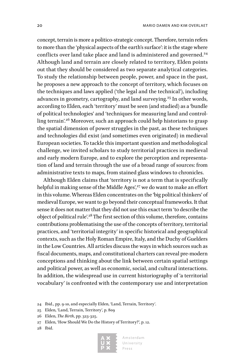concept, terrain is more a politico-strategic concept. Therefore, terrain refers to more than the 'physical aspects of the earth's surface': it is the stage where conflicts over land take place and land is administered and governed.<sup>24</sup> Although land and terrain are closely related to territory, Elden points out that they should be considered as two separate analytical categories. To study the relationship between people, power, and space in the past, he proposes a new approach to the concept of territory, which focuses on the techniques and laws applied ('the legal and the technical'), including advances in geometry, cartography, and land surveying.<sup>25</sup> In other words, according to Elden, each 'territory' must be seen (and studied) as a 'bundle of political technologies' and 'techniques for measuring land and controlling terrain'.<sup>26</sup> Moreover, such an approach could help historians to grasp the spatial dimension of power struggles in the past, as these techniques and technologies did exist (and sometimes even originated) in medieval European societies. To tackle this important question and methodological challenge, we invited scholars to study territorial practices in medieval and early modern Europe, and to explore the perception and representation of land and terrain through the use of a broad range of sources: from administrative texts to maps, from stained glass windows to chronicles.

Although Elden claims that 'territory is not a term that is specifically helpful in making sense of the Middle Ages',<sup>27</sup> we do want to make an effort in this volume. Whereas Elden concentrates on the 'big political thinkers' of medieval Europe, we want to go beyond their conceptual frameworks. It that sense it does not matter that they did not use this exact term 'to describe the object of political rule'.<sup>28</sup> The first section of this volume, therefore, contains contributions problematising the use of the concepts of territory, territorial practices, and 'territorial integrity' in specific historical and geographical contexts, such as the Holy Roman Empire, Italy, and the Duchy of Guelders in the Low Countries. All articles discuss the ways in which sources such as fiscal documents, maps, and constitutional charters can reveal pre-modern conceptions and thinking about the link between certain spatial settings and political power, as well as economic, social, and cultural interactions. In addition, the widespread use in current historiography of 'a territorial vocabulary' is confronted with the contemporary use and interpretation

- 26 Elden, *The Birth*, pp. 323-325.
- 27 Elden, 'How Should We Do the History of Territory?', p. 12.
- 28 Ibid.



<sup>24</sup> Ibid., pp. 9-10, and especially Elden, 'Land, Terrain, Territory'.

<sup>25</sup> Elden, 'Land, Terrain, Territory', p. 809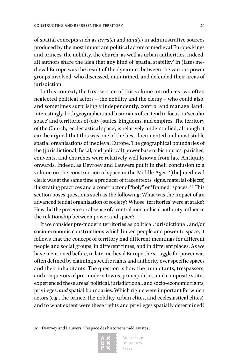of spatial concepts such as *terra(e)* and *land(e)* in administrative sources produced by the most important political actors of medieval Europe: kings and princes, the nobility, the church, as well as urban authorities. Indeed, all authors share the idea that any kind of 'spatial stability' in (late) medieval Europe was the result of the dynamics between the various power groups involved, who discussed, maintained, and defended their areas of jurisdiction.

In this context, the first section of this volume introduces two often neglected political actors – the nobility and the clergy – who could also, and sometimes surprisingly independently, control and manage 'land'. Interestingly, both geographers and historians often tend to focus on 'secular space' and territories of (city-)states, kingdoms, and empires. The territory of the Church, 'ecclesiastical space', is relatively understudied, although it can be argued that this was one of the best documented and most stable spatial organisations of medieval Europe. The geographical boundaries of the (jurisdictional, fiscal, and political) power base of bishoprics, parishes, convents, and churches were relatively well known from late Antiquity onwards. Indeed, as Devroey and Lauwers put it in their conclusion to a volume on the construction of space in the Middle Ages, '[the] medieval cleric was at the same time a producer of traces (texts, signs, material objects) illustrating practices and a constructor of "holy" or "framed" spaces'.<sup>29</sup> This section poses questions such as the following: What was the impact of an advanced feudal organisation of society? Whose 'territories' were at stake? How did the presence or absence of a central monarchical authority influence the relationship between power and space?

If we consider pre-modern territories as political, jurisdictional, and/or socio-economic constructions which linked people and power to space, it follows that the concept of territory had different meanings for different people and social groups, in different times, and in different places. As we have mentioned before, in late medieval Europe the struggle for power was often defined by claiming specific rights and authority over specific spaces and their inhabitants. The question is how the inhabitants, trespassers, and conquerors of pre-modern towns, principalities, and composite states experienced these areas' political, jurisdictional, and socio-economic rights, privileges, *and* spatial boundaries. Which rights were important for which actors (e.g., the prince, the nobility, urban elites, and ecclesiastical elites), and to what extent were these rights and privileges spatially determined?

29 Devroey and Lauwers, 'L'espace des historiens médiévistes'.

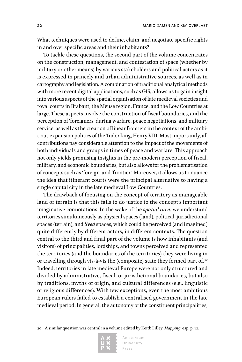What techniques were used to define, claim, and negotiate specific rights in and over specific areas and their inhabitants?

To tackle these questions, the second part of the volume concentrates on the construction, management, and contestation of space (whether by military or other means) by various stakeholders and political actors as it is expressed in princely and urban administrative sources, as well as in cartography and legislation. A combination of traditional analytical methods with more recent digital applications, such as GIS, allows us to gain insight into various aspects of the spatial organisation of late medieval societies and royal courts in Brabant, the Meuse region, France, and the Low Countries at large. These aspects involve the construction of fiscal boundaries, and the perception of 'foreigners' during warfare, peace negotiations, and military service, as well as the creation of linear frontiers in the context of the ambitious expansion politics of the Tudor king, Henry VIII. Most importantly, all contributions pay considerable attention to the impact of the movements of both individuals and groups in times of peace and warfare. This approach not only yields promising insights in the pre-modern perception of fiscal, military, and economic boundaries, but also allows for the problematisation of concepts such as 'foreign' and 'frontier'. Moreover, it allows us to nuance the idea that itinerant courts were the principal alternative to having a single capital city in the late medieval Low Countries.

The drawback of focusing on the concept of territory as manageable land or terrain is that this fails to do justice to the concept's important imaginative connotations. In the wake of the *spatial turn*, we understand territories simultaneously as physical spaces (land), political, jurisdictional spaces (terrain), and *lived* spaces, which could be perceived (and imagined) quite differently by different actors, in different contexts. The question central to the third and final part of the volume is how inhabitants (and visitors) of principalities, lordships, and towns perceived and represented the territories (and the boundaries of the territories) they were living in or travelling through vis-à-vis the (composite) state they formed part of.30 Indeed, territories in late medieval Europe were not only structured and divided by administrative, fiscal, or jurisdictional boundaries, but also by traditions, myths of origin, and cultural differences (e.g., linguistic or religious differences). With few exceptions, even the most ambitious European rulers failed to establish a centralised government in the late medieval period. In general, the autonomy of the constituent principalities,

<sup>30</sup> A similar question was central in a volume edited by Keith Lilley, *Mapping*, esp. p. 12.

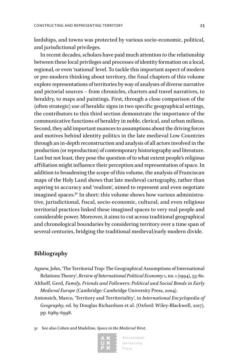lordships, and towns was protected by various socio-economic, political, and jurisdictional privileges.

In recent decades, scholars have paid much attention to the relationship between these local privileges and processes of identity formation on a local, regional, or even 'national' level. To tackle this important aspect of modern or pre-modern thinking about territory, the final chapters of this volume explore representations of territories by way of analyses of diverse narrative and pictorial sources – from chronicles, charters and travel narratives, to heraldry, to maps and paintings. First, through a close comparison of the (often strategic) use of heraldic signs in two specific geographical settings, the contributors to this third section demonstrate the importance of the communicative functions of heraldry in noble, clerical, and urban milieus. Second, they add important nuances to assumptions about the driving forces and motives behind identity politics in the late medieval Low Countries through an in-depth reconstruction and analysis of all actors involved in the production (or reproduction) of contemporary historiography and literature. Last but not least, they pose the question of to what extent people's religious affiliation might influence their perception and representation of space. In addition to broadening the scope of this volume, the analysis of Franciscan maps of the Holy Land shows that late medieval cartography, rather than aspiring to accuracy and 'realism', aimed to represent and even negotiate imagined spaces.<sup>31</sup> In short: this volume shows how various administrative, jurisdictional, fiscal, socio-economic, cultural, and even religious territorial practices linked these imagined spaces to very real people and considerable power. Moreover, it aims to cut across traditional geographical and chronological boundaries by considering territory over a time span of several centuries, bridging the traditional medieval/early modern divide.

#### **Bibliography**

- Agnew, John, 'The Territorial Trap: The Geographical Assumptions of International Relations Theory', *Review of International Political Economy* 1, no. 1 (1994), 53-80.
- Althoff, Gerd, *Family, Friends and Followers: Political and Social Bonds in Early Medieval Europe* (Cambridge: Cambridge University Press, 2004).
- Antonsich, Marco, 'Territory and Territoriality', in *International Encyclopedia of Geography*, ed. by Douglas Richardson et al. (Oxford: Wiley-Blackwell, 2017), pp. 6989-6998.
- 31 See also Cohen and Madeline, *Space in the Medieval West*.

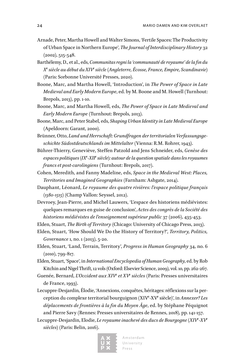- Arnade, Peter, Martha Howell and Walter Simons, 'Fertile Spaces: The Productivity of Urban Space in Northern Europe', *The Journal of Interdisciplinary History* 32 (2002), 515-548.
- Barthélemy, D., et al., eds, *Communitas regni la 'communauté de royaume' de la fin du*   $X^{\!e}$  siècle au début du XIV<sup>e</sup> siècle (Angleterre, Écosse, France, Empire, Scandinavie) (Paris: Sorbonne Université Presses, 2020).
- Boone, Marc, and Martha Howell, 'Introduction', in *The Power of Space in Late Medieval and Early Modern Europe*, ed. by M. Boone and M. Howell (Turnhout: Brepols, 2013), pp. 1-10.
- Boone, Marc, and Martha Howell, eds, *The Power of Space in Late Medieval and Early Modern Europe* (Turnhout: Brepols, 2013).
- Boone, Marc, and Peter Stabel, eds, *Shaping Urban Identity in Late Medieval Europe* (Apeldoorn: Garant, 2000).
- Brünner, Otto, *Land und Herrschaft: Grundfragen der territorialen Verfassungsgeschichte Südostdeutschlands im Mittelalter* (Vienna: R.M. Rohrer, 1943).
- Bührer-Thierry, Geneviève, Steffen Patzold and Jens Schneider, eds, *Genèse des*  espaces politiques (IX<sup>e</sup>-XII<sup>e</sup> siècle): autour de la question spatiale dans les royaumes *francs et post-carolingiens* (Turnhout: Brepols, 2017).
- Cohen, Meredith, and Fanny Madeline, eds, *Space in the Medieval West: Places, Territories and Imagined Geographies* (Farnham: Ashgate, 2014).
- Dauphant, Léonard, *Le royaume des quatre rivières: l'espace politique français (1380-1515)* (Champ Vallon: Seyssel, 2012).
- Devroey, Jean-Pierre, and Michel Lauwers, 'L'espace des historiens médiévistes: quelques remarques en guise de conclusion', *Actes des congrès de la Société des historiens médiévistes de l'enseignement supérieur public* 37 (2006), 435-453.
- Elden, Stuart, *The Birth of Territory* (Chicago: University of Chicago Press, 2013).
- Elden, Stuart, 'How Should We Do the History of Territory?', *Territory, Politics, Governance* 1, no. 1 (2013), 5-20.
- Elden, Stuart, 'Land, Terrain, Territory', *Progress in Human Geography* 34, no. 6 (2010), 799-817.
- Elden, Stuart, 'Space', in *International Encyclopedia of Human Geography*, ed. by Rob Kitchin and Nigel Thrift, 12 vols (Oxford: Elsevier Science, 2009), vol. 10, pp. 262-267.
- Guenée, Bernard, *L'Occident aux XIV<sup>e</sup> et XV<sup>e</sup> siècles* (Paris: Presses universitaires de France, 1993).
- Lecuppre-Desjardin, Élodie, 'Annexions, conquêtes, héritages: réflexions sur la perception du complexe territorial bourguignon (XIVe -XVe siècle)', in *Annexer? Les déplacements de frontières à la fin du Moyen Âge*, ed. by Stéphane Péquignot and Pierre Savy (Rennes: Presses universitaires de Rennes, 2018), pp. 141-157.
- Lecuppre-Desjardin, Elodie, *Le royaume inachevé des ducs de Bourgogne (XIVe -XVe siècles)* (Paris: Belin, 2016).

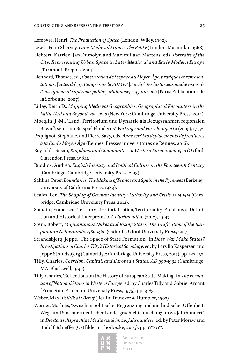Lefebvre, Henri, *The Production of Space* (London: Wiley, 1992).

Lewis, Peter Shervey, *Later Medieval France: The Polity* (London: Macmillan, 1968).

- Lichtert, Katrien, Jan Dumolyn and Maximiliaan Martens, eds, *Portraits of the City: Representing Urban Space in Later Medieval and Early Modern Europe*  (Turnhout: Brepols, 2014).
- Lienhard, Thomas, ed., *Construction de l'espace au Moyen Âge: pratiques et représentations. [actes du] 37. Congres de la SHMES [Société des historiens médiévistes de l'enseignement supérieur public], Mulhouse, 2-4 juin 2006* (Paris: Publications de la Sorbonne, 2007).
- Lilley, Keith D., *Mapping Medieval Geographies: Geographical Encounters in the Latin West and Beyond, 300-1600* (New York: Cambridge University Press, 2014).
- Moeglin, J.-M., 'Land, Territorium und Dynastie als Bezugsrahmen regionalen Bewußtseins am Beispiel Flanderns', *Vorträge und Forschungen* 61(2005), 17-52.
- Péquignot, Stéphane, and Pierre Savy, eds, *Annexer? Les déplacements de frontières à la fin du Moyen Âge* (Rennes: Presses universitaires de Rennes, 2016).
- Reynolds, Susan, *Kingdoms and Communities in Western Europe, 900-1300* (Oxford: Clarendon Press, 1984).
- Ruddick, Andrea, *English Identity and Political Culture in the Fourteenth Century* (Cambridge: Cambridge University Press, 2013).
- Sahlins, Peter, *Boundaries: The Making of France and Spain in the Pyrenees* (Berkeley: University of California Press, 1989).
- Scales, Len, *The Shaping of German Identity: Authority and Crisis, 1245-1414* (Cambridge: Cambridge University Press, 2012).
- Somaini, Francesco, 'Territory, Territorialisation, Territoriality: Problems of Definition and Historical Interpretation', *Plurimondi* 10 (2012), 19-47.
- Stein, Robert, *Magnanimous Dukes and Rising States: The Unification of the Burgundian Netherlands, 1380-1480* (Oxford: Oxford University Press, 2017)
- Strandsbjerg, Jeppe, 'The Space of State Formation', in *Does War Make States? Investigations of Charles Tilly's Historical Sociology*, ed. by Lars Bo Kaspersen and Jeppe Strandsbjerg (Cambridge: Cambridge University Press, 2017), pp. 127-153.
- Tilly, Charles, *Coercion, Capital, and European States, AD 990-1992* (Cambridge, MA: Blackwell, 1990).
- Tilly, Charles, 'Reflections on the History of European State-Making', in *The Formation of National States in Western Europe*, ed. by Charles Tilly and Gabriel Ardant (Princeton: Princeton University Press, 1975), pp. 3-83
- Weber, Max, *Politik als Beruf* (Berlin: Duncker & Humblot, 1982).
- Werner, Mathias, 'Zwischen politischer Begrenzung und methodischer Offenheit. Wege und Stationen deutscher Landesgeschichtsforschung im 20. Jahrhundert', in *Die deutschsprachige Mediävistik im 20. Jahrhundert*, ed. by Peter Moraw and Rudolf Schieffer (Ostfildern: Thorbecke, 2005), pp. ???-???.